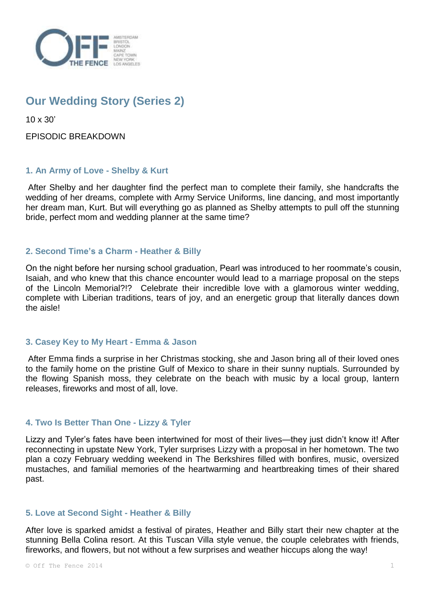

# **Our Wedding Story (Series 2)**

10 x 30'

EPISODIC BREAKDOWN

# **1. An Army of Love - Shelby & Kurt**

After Shelby and her daughter find the perfect man to complete their family, she handcrafts the wedding of her dreams, complete with Army Service Uniforms, line dancing, and most importantly her dream man, Kurt. But will everything go as planned as Shelby attempts to pull off the stunning bride, perfect mom and wedding planner at the same time?

# **2. Second Time's a Charm - Heather & Billy**

On the night before her nursing school graduation, Pearl was introduced to her roommate's cousin, Isaiah, and who knew that this chance encounter would lead to a marriage proposal on the steps of the Lincoln Memorial?!? Celebrate their incredible love with a glamorous winter wedding, complete with Liberian traditions, tears of joy, and an energetic group that literally dances down the aisle!

# **3. Casey Key to My Heart - Emma & Jason**

After Emma finds a surprise in her Christmas stocking, she and Jason bring all of their loved ones to the family home on the pristine Gulf of Mexico to share in their sunny nuptials. Surrounded by the flowing Spanish moss, they celebrate on the beach with music by a local group, lantern releases, fireworks and most of all, love.

# **4. Two Is Better Than One - Lizzy & Tyler**

Lizzy and Tyler's fates have been intertwined for most of their lives—they just didn't know it! After reconnecting in upstate New York, Tyler surprises Lizzy with a proposal in her hometown. The two plan a cozy February wedding weekend in The Berkshires filled with bonfires, music, oversized mustaches, and familial memories of the heartwarming and heartbreaking times of their shared past.

# **5. Love at Second Sight - Heather & Billy**

After love is sparked amidst a festival of pirates, Heather and Billy start their new chapter at the stunning Bella Colina resort. At this Tuscan Villa style venue, the couple celebrates with friends, fireworks, and flowers, but not without a few surprises and weather hiccups along the way!